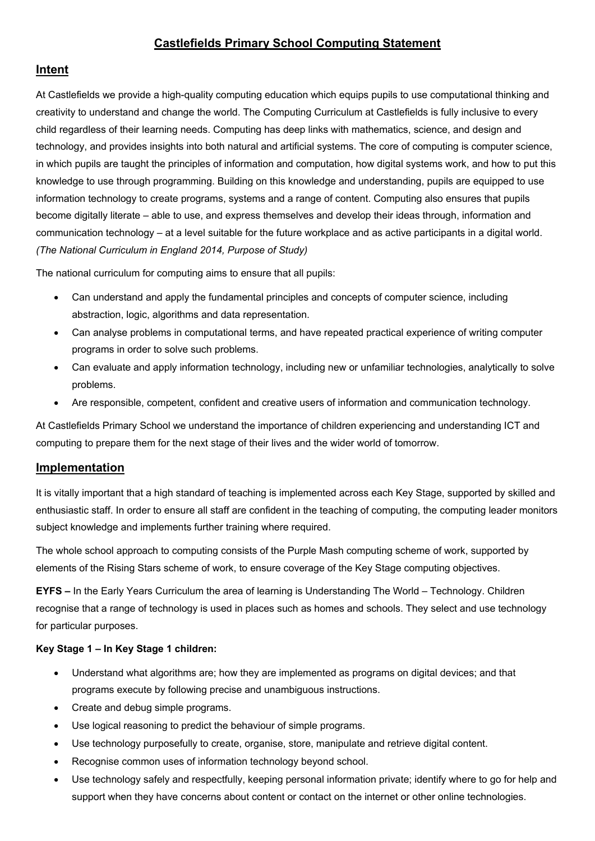# **Castlefields Primary School Computing Statement**

# **Intent**

At Castlefields we provide a high-quality computing education which equips pupils to use computational thinking and creativity to understand and change the world. The Computing Curriculum at Castlefields is fully inclusive to every child regardless of their learning needs. Computing has deep links with mathematics, science, and design and technology, and provides insights into both natural and artificial systems. The core of computing is computer science, in which pupils are taught the principles of information and computation, how digital systems work, and how to put this knowledge to use through programming. Building on this knowledge and understanding, pupils are equipped to use information technology to create programs, systems and a range of content. Computing also ensures that pupils become digitally literate – able to use, and express themselves and develop their ideas through, information and communication technology – at a level suitable for the future workplace and as active participants in a digital world. *(The National Curriculum in England 2014, Purpose of Study)*

The national curriculum for computing aims to ensure that all pupils:

- Can understand and apply the fundamental principles and concepts of computer science, including abstraction, logic, algorithms and data representation.
- Can analyse problems in computational terms, and have repeated practical experience of writing computer programs in order to solve such problems.
- Can evaluate and apply information technology, including new or unfamiliar technologies, analytically to solve problems.
- Are responsible, competent, confident and creative users of information and communication technology.

At Castlefields Primary School we understand the importance of children experiencing and understanding ICT and computing to prepare them for the next stage of their lives and the wider world of tomorrow.

### **Implementation**

It is vitally important that a high standard of teaching is implemented across each Key Stage, supported by skilled and enthusiastic staff. In order to ensure all staff are confident in the teaching of computing, the computing leader monitors subject knowledge and implements further training where required.

The whole school approach to computing consists of the Purple Mash computing scheme of work, supported by elements of the Rising Stars scheme of work, to ensure coverage of the Key Stage computing objectives.

**EYFS –** In the Early Years Curriculum the area of learning is Understanding The World – Technology. Children recognise that a range of technology is used in places such as homes and schools. They select and use technology for particular purposes.

### **Key Stage 1 – In Key Stage 1 children:**

- Understand what algorithms are; how they are implemented as programs on digital devices; and that programs execute by following precise and unambiguous instructions.
- Create and debug simple programs.
- Use logical reasoning to predict the behaviour of simple programs.
- Use technology purposefully to create, organise, store, manipulate and retrieve digital content.
- Recognise common uses of information technology beyond school.
- Use technology safely and respectfully, keeping personal information private; identify where to go for help and support when they have concerns about content or contact on the internet or other online technologies.